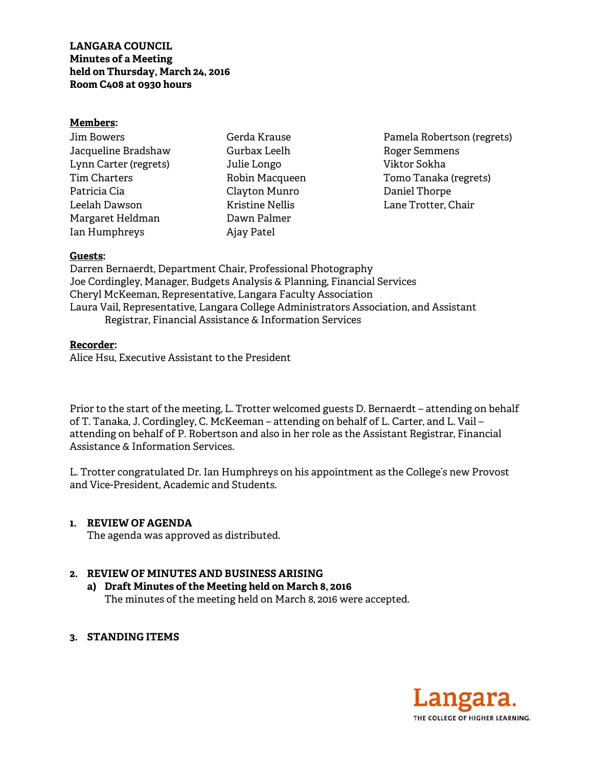**LANGARA COUNCIL Minutes of a Meeting held on Thursday, March 24, 2016 Room C408 at 0930 hours** 

#### **Members:**

| Jim Bowers            |
|-----------------------|
| Jacqueline Bradshaw   |
| Lynn Carter (regrets) |
| Tim Charters          |
| Patricia Cia          |
| Leelah Dawson         |
| Margaret Heldman      |
| Ian Humphreys         |

Gerda Krause Gurbax Leelh Julie Longo Robin Macqueen Clayton Munro Kristine Nellis Dawn Palmer Ajay Patel

Pamela Robertson (regrets) Roger Semmens Viktor Sokha Tomo Tanaka (regrets) Daniel Thorpe Lane Trotter, Chair

#### **Guests:**

Darren Bernaerdt, Department Chair, Professional Photography Joe Cordingley, Manager, Budgets Analysis & Planning, Financial Services Cheryl McKeeman, Representative, Langara Faculty Association Laura Vail, Representative, Langara College Administrators Association, and Assistant Registrar, Financial Assistance & Information Services

#### **Recorder:**

Alice Hsu, Executive Assistant to the President

Prior to the start of the meeting, L. Trotter welcomed guests D. Bernaerdt – attending on behalf of T. Tanaka, J. Cordingley, C. McKeeman – attending on behalf of L. Carter, and L. Vail – attending on behalf of P. Robertson and also in her role as the Assistant Registrar, Financial Assistance & Information Services.

L. Trotter congratulated Dr. Ian Humphreys on his appointment as the College's new Provost and Vice-President, Academic and Students.

#### **1. REVIEW OF AGENDA**

The agenda was approved as distributed.

#### **2. REVIEW OF MINUTES AND BUSINESS ARISING**

- **a) Draft Minutes of the Meeting held on March 8, 2016** The minutes of the meeting held on March 8, 2016 were accepted.
- **3. STANDING ITEMS**

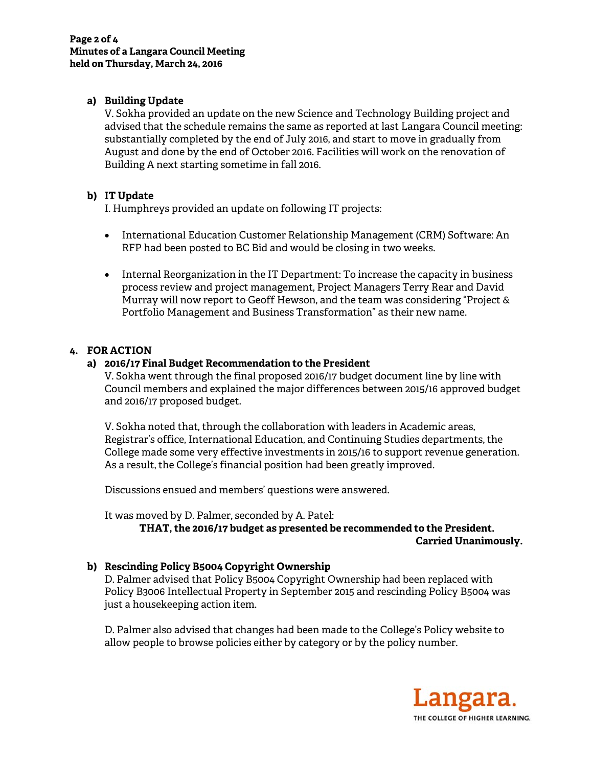# **a) Building Update**

V. Sokha provided an update on the new Science and Technology Building project and advised that the schedule remains the same as reported at last Langara Council meeting: substantially completed by the end of July 2016, and start to move in gradually from August and done by the end of October 2016. Facilities will work on the renovation of Building A next starting sometime in fall 2016.

# **b) IT Update**

I. Humphreys provided an update on following IT projects:

- International Education Customer Relationship Management (CRM) Software: An RFP had been posted to BC Bid and would be closing in two weeks.
- Internal Reorganization in the IT Department: To increase the capacity in business process review and project management, Project Managers Terry Rear and David Murray will now report to Geoff Hewson, and the team was considering "Project & Portfolio Management and Business Transformation" as their new name.

# **4. FOR ACTION**

# **a) 2016/17 Final Budget Recommendation to the President**

V. Sokha went through the final proposed 2016/17 budget document line by line with Council members and explained the major differences between 2015/16 approved budget and 2016/17 proposed budget.

V. Sokha noted that, through the collaboration with leaders in Academic areas, Registrar's office, International Education, and Continuing Studies departments, the College made some very effective investments in 2015/16 to support revenue generation. As a result, the College's financial position had been greatly improved.

Discussions ensued and members' questions were answered.

It was moved by D. Palmer, seconded by A. Patel:

**THAT, the 2016/17 budget as presented be recommended to the President. Carried Unanimously.** 

# **b) Rescinding Policy B5004 Copyright Ownership**

D. Palmer advised that Policy B5004 Copyright Ownership had been replaced with Policy B3006 Intellectual Property in September 2015 and rescinding Policy B5004 was just a housekeeping action item.

D. Palmer also advised that changes had been made to the College's Policy website to allow people to browse policies either by category or by the policy number.

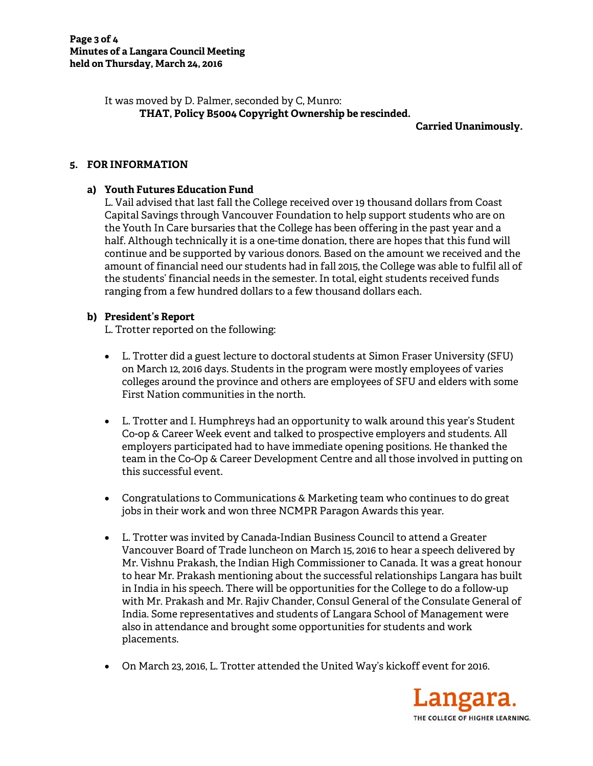It was moved by D. Palmer, seconded by C, Munro: **THAT, Policy B5004 Copyright Ownership be rescinded.** 

**Carried Unanimously.** 

# **5. FOR INFORMATION**

# **a) Youth Futures Education Fund**

L. Vail advised that last fall the College received over 19 thousand dollars from Coast Capital Savings through Vancouver Foundation to help support students who are on the Youth In Care bursaries that the College has been offering in the past year and a half. Although technically it is a one-time donation, there are hopes that this fund will continue and be supported by various donors. Based on the amount we received and the amount of financial need our students had in fall 2015, the College was able to fulfil all of the students' financial needs in the semester. In total, eight students received funds ranging from a few hundred dollars to a few thousand dollars each.

# **b) President's Report**

L. Trotter reported on the following:

- L. Trotter did a guest lecture to doctoral students at Simon Fraser University (SFU) on March 12, 2016 days. Students in the program were mostly employees of varies colleges around the province and others are employees of SFU and elders with some First Nation communities in the north.
- L. Trotter and I. Humphreys had an opportunity to walk around this year's Student Co-op & Career Week event and talked to prospective employers and students. All employers participated had to have immediate opening positions. He thanked the team in the Co-Op & Career Development Centre and all those involved in putting on this successful event.
- Congratulations to Communications & Marketing team who continues to do great jobs in their work and won three NCMPR Paragon Awards this year.
- L. Trotter was invited by Canada-Indian Business Council to attend a Greater Vancouver Board of Trade luncheon on March 15, 2016 to hear a speech delivered by Mr. Vishnu Prakash, the Indian High Commissioner to Canada. It was a great honour to hear Mr. Prakash mentioning about the successful relationships Langara has built in India in his speech. There will be opportunities for the College to do a follow-up with Mr. Prakash and Mr. Rajiv Chander, Consul General of the Consulate General of India. Some representatives and students of Langara School of Management were also in attendance and brought some opportunities for students and work placements.
- On March 23, 2016, L. Trotter attended the United Way's kickoff event for 2016.